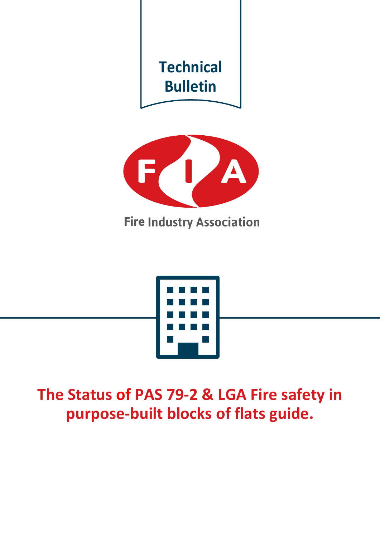



**The Status of PAS 79-2 & LGA Fire safety in purpose-built blocks of flats guide.**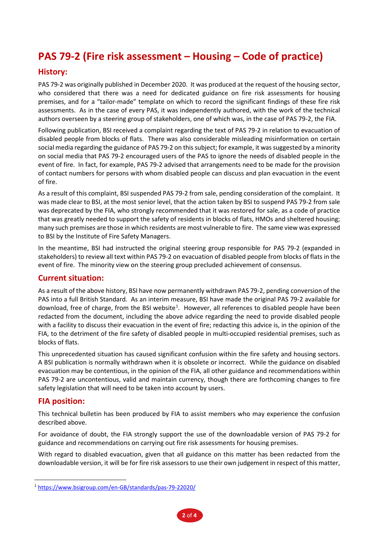# **PAS 79-2 (Fire risk assessment – Housing – Code of practice)**

## **History:**

PAS 79-2 was originally published in December 2020. It was produced at the request of the housing sector, who considered that there was a need for dedicated guidance on fire risk assessments for housing premises, and for a "tailor-made" template on which to record the significant findings of these fire risk assessments. As in the case of every PAS, it was independently authored, with the work of the technical authors overseen by a steering group of stakeholders, one of which was, in the case of PAS 79-2, the FIA.

Following publication, BSI received a complaint regarding the text of PAS 79-2 in relation to evacuation of disabled people from blocks of flats. There was also considerable misleading misinformation on certain social media regarding the guidance of PAS 79-2 on this subject; for example, it was suggested by a minority on social media that PAS 79-2 encouraged users of the PAS to ignore the needs of disabled people in the event of fire. In fact, for example, PAS 79-2 advised that arrangements need to be made for the provision of contact numbers for persons with whom disabled people can discuss and plan evacuation in the event of fire.

As a result of this complaint, BSI suspended PAS 79-2 from sale, pending consideration of the complaint. It was made clear to BSI, at the most senior level, that the action taken by BSI to suspend PAS 79-2 from sale was deprecated by the FIA, who strongly recommended that it was restored for sale, as a code of practice that was greatly needed to support the safety of residents in blocks of flats, HMOs and sheltered housing; many such premises are those in which residents are most vulnerable to fire. The same view was expressed to BSI by the Institute of Fire Safety Managers.

In the meantime, BSI had instructed the original steering group responsible for PAS 79-2 (expanded in stakeholders) to review all text within PAS 79-2 on evacuation of disabled people from blocks of flats in the event of fire. The minority view on the steering group precluded achievement of consensus.

### **Current situation:**

As a result of the above history, BSI have now permanently withdrawn PAS 79-2, pending conversion of the PAS into a full British Standard. As an interim measure, BSI have made the original PAS 79-2 available for download, free of charge, from the BSI website<sup>[1](#page-1-0)</sup>. However, all references to disabled people have been redacted from the document, including the above advice regarding the need to provide disabled people with a facility to discuss their evacuation in the event of fire; redacting this advice is, in the opinion of the FIA, to the detriment of the fire safety of disabled people in multi-occupied residential premises, such as blocks of flats.

This unprecedented situation has caused significant confusion within the fire safety and housing sectors. A BSI publication is normally withdrawn when it is obsolete or incorrect. While the guidance on disabled evacuation may be contentious, in the opinion of the FIA, all other guidance and recommendations within PAS 79-2 are uncontentious, valid and maintain currency, though there are forthcoming changes to fire safety legislation that will need to be taken into account by users.

### **FIA position:**

This technical bulletin has been produced by FIA to assist members who may experience the confusion described above.

For avoidance of doubt, the FIA strongly support the use of the downloadable version of PAS 79-2 for guidance and recommendations on carrying out fire risk assessments for housing premises.

With regard to disabled evacuation, given that all guidance on this matter has been redacted from the downloadable version, it will be for fire risk assessors to use their own judgement in respect of this matter,

<span id="page-1-0"></span><sup>1</sup> <https://www.bsigroup.com/en-GB/standards/pas-79-22020/>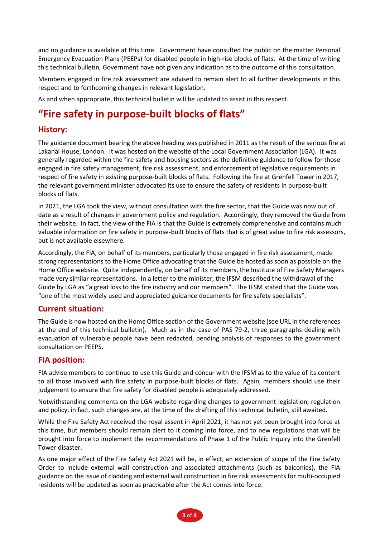and no guidance is available at this time. Government have consulted the public on the matter Personal Emergency Evacuation Plans (PEEPs) for disabled people in high-rise blocks of flats. At the time of writing this technical bulletin, Government have not given any indication as to the outcome of this consultation.

Members engaged in fire risk assessment are advised to remain alert to all further developments in this respect and to forthcoming changes in relevant legislation.

As and when appropriate, this technical bulletin will be updated to assist in this respect.

## **"Fire safety in purpose-built blocks of flats"**

### **History:**

The guidance document bearing the above heading was published in 2011 as the result of the serious fire at Lakanal House, London. It was hosted on the website of the Local Government Association (LGA). It was generally regarded within the fire safety and housing sectors as the definitive guidance to follow for those engaged in fire safety management, fire risk assessment, and enforcement of legislative requirements in respect of fire safety in existing purpose-built blocks of flats. Following the fire at Grenfell Tower in 2017, the relevant government minister advocated its use to ensure the safety of residents in purpose-built blocks of flats.

In 2021, the LGA took the view, without consultation with the fire sector, that the Guide was now out of date as a result of changes in government policy and regulation. Accordingly, they removed the Guide from their website. In fact, the view of the FIA is that the Guide is extremely comprehensive and contains much valuable information on fire safety in purpose-built blocks of flats that is of great value to fire risk assessors, but is not available elsewhere.

Accordingly, the FIA, on behalf of its members, particularly those engaged in fire risk assessment, made strong representations to the Home Office advocating that the Guide be hosted as soon as possible on the Home Office website. Quite independently, on behalf of its members, the Institute of Fire Safety Managers made very similar representations. In a letter to the minister, the IFSM described the withdrawal of the Guide by LGA as "a great loss to the fire industry and our members". The IFSM stated that the Guide was "one of the most widely used and appreciated guidance documents for fire safety specialists".

### **Current situation:**

The Guide is now hosted on the Home Office section of the Government website (see URL in the references at the end of this technical bulletin). Much as in the case of PAS 79-2, three paragraphs dealing with evacuation of vulnerable people have been redacted, pending analysis of responses to the government consultation on PEEPS.

### **FIA position:**

FIA advise members to continue to use this Guide and concur with the IFSM as to the value of its content to all those involved with fire safety in purpose-built blocks of flats. Again, members should use their judgement to ensure that fire safety for disabled people is adequately addressed.

Notwithstanding comments on the LGA website regarding changes to government legislation, regulation and policy, in fact, such changes are, at the time of the drafting of this technical bulletin, still awaited.

While the Fire Safety Act received the royal assent in April 2021, it has not yet been brought into force at this time, but members should remain alert to it coming into force, and to new regulations that will be brought into force to implement the recommendations of Phase 1 of the Public Inquiry into the Grenfell Tower disaster.

As one major effect of the Fire Safety Act 2021 will be, in effect, an extension of scope of the Fire Safety Order to include external wall construction and associated attachments (such as balconies), the FIA guidance on the issue of cladding and external wall construction in fire risk assessments for multi-occupied residents will be updated as soon as practicable after the Act comes into force.